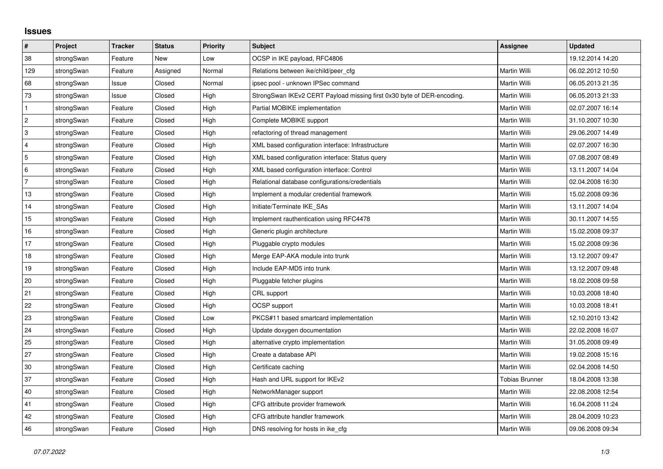## **Issues**

| #              | Project    | <b>Tracker</b> | <b>Status</b> | <b>Priority</b> | <b>Subject</b>                                                         | Assignee              | <b>Updated</b>   |
|----------------|------------|----------------|---------------|-----------------|------------------------------------------------------------------------|-----------------------|------------------|
| 38             | strongSwan | Feature        | <b>New</b>    | Low             | OCSP in IKE payload, RFC4806                                           |                       | 19.12.2014 14:20 |
| 129            | strongSwan | Feature        | Assigned      | Normal          | Relations between ike/child/peer cfg                                   | Martin Willi          | 06.02.2012 10:50 |
| 68             | strongSwan | Issue          | Closed        | Normal          | ipsec pool - unknown IPSec command                                     | Martin Willi          | 06.05.2013 21:35 |
| 73             | strongSwan | Issue          | Closed        | High            | StrongSwan IKEv2 CERT Payload missing first 0x30 byte of DER-encoding. | Martin Willi          | 06.05.2013 21:33 |
| $\mathbf{1}$   | strongSwan | Feature        | Closed        | High            | Partial MOBIKE implementation                                          | Martin Willi          | 02.07.2007 16:14 |
| $\overline{c}$ | strongSwan | Feature        | Closed        | High            | Complete MOBIKE support                                                | <b>Martin Willi</b>   | 31.10.2007 10:30 |
| 3              | strongSwan | Feature        | Closed        | High            | refactoring of thread management                                       | Martin Willi          | 29.06.2007 14:49 |
| $\overline{4}$ | strongSwan | Feature        | Closed        | High            | XML based configuration interface: Infrastructure                      | Martin Willi          | 02.07.2007 16:30 |
| 5              | strongSwan | Feature        | Closed        | High            | XML based configuration interface: Status query                        | Martin Willi          | 07.08.2007 08:49 |
| 6              | strongSwan | Feature        | Closed        | High            | XML based configuration interface: Control                             | Martin Willi          | 13.11.2007 14:04 |
| $\overline{7}$ | strongSwan | Feature        | Closed        | High            | Relational database configurations/credentials                         | Martin Willi          | 02.04.2008 16:30 |
| 13             | strongSwan | Feature        | Closed        | High            | Implement a modular credential framework                               | Martin Willi          | 15.02.2008 09:36 |
| 14             | strongSwan | Feature        | Closed        | High            | Initiate/Terminate IKE_SAs                                             | Martin Willi          | 13.11.2007 14:04 |
| 15             | strongSwan | Feature        | Closed        | High            | Implement rauthentication using RFC4478                                | Martin Willi          | 30.11.2007 14:55 |
| 16             | strongSwan | Feature        | Closed        | High            | Generic plugin architecture                                            | Martin Willi          | 15.02.2008 09:37 |
| 17             | strongSwan | Feature        | Closed        | High            | Pluggable crypto modules                                               | Martin Willi          | 15.02.2008 09:36 |
| 18             | strongSwan | Feature        | Closed        | High            | Merge EAP-AKA module into trunk                                        | Martin Willi          | 13.12.2007 09:47 |
| 19             | strongSwan | Feature        | Closed        | High            | Include EAP-MD5 into trunk                                             | Martin Willi          | 13.12.2007 09:48 |
| 20             | strongSwan | Feature        | Closed        | High            | Pluggable fetcher plugins                                              | Martin Willi          | 18.02.2008 09:58 |
| 21             | strongSwan | Feature        | Closed        | High            | CRL support                                                            | Martin Willi          | 10.03.2008 18:40 |
| 22             | strongSwan | Feature        | Closed        | High            | OCSP support                                                           | Martin Willi          | 10.03.2008 18:41 |
| 23             | strongSwan | Feature        | Closed        | Low             | PKCS#11 based smartcard implementation                                 | Martin Willi          | 12.10.2010 13:42 |
| 24             | strongSwan | Feature        | Closed        | High            | Update doxygen documentation                                           | Martin Willi          | 22.02.2008 16:07 |
| 25             | strongSwan | Feature        | Closed        | High            | alternative crypto implementation                                      | Martin Willi          | 31.05.2008 09:49 |
| 27             | strongSwan | Feature        | Closed        | High            | Create a database API                                                  | Martin Willi          | 19.02.2008 15:16 |
| 30             | strongSwan | Feature        | Closed        | High            | Certificate caching                                                    | <b>Martin Willi</b>   | 02.04.2008 14:50 |
| 37             | strongSwan | Feature        | Closed        | High            | Hash and URL support for IKEv2                                         | <b>Tobias Brunner</b> | 18.04.2008 13:38 |
| 40             | strongSwan | Feature        | Closed        | High            | NetworkManager support                                                 | Martin Willi          | 22.08.2008 12:54 |
| 41             | strongSwan | Feature        | Closed        | High            | CFG attribute provider framework                                       | Martin Willi          | 16.04.2008 11:24 |
| 42             | strongSwan | Feature        | Closed        | High            | CFG attribute handler framework                                        | Martin Willi          | 28.04.2009 10:23 |
| 46             | strongSwan | Feature        | Closed        | High            | DNS resolving for hosts in ike_cfg                                     | Martin Willi          | 09.06.2008 09:34 |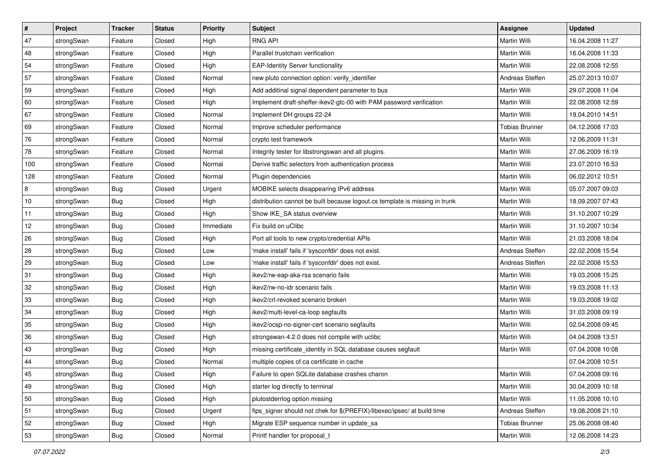| $\vert$ # | Project    | <b>Tracker</b> | <b>Status</b> | <b>Priority</b> | <b>Subject</b>                                                              | Assignee              | <b>Updated</b>   |
|-----------|------------|----------------|---------------|-----------------|-----------------------------------------------------------------------------|-----------------------|------------------|
| 47        | strongSwan | Feature        | Closed        | High            | <b>RNG API</b>                                                              | Martin Willi          | 16.04.2008 11:27 |
| 48        | strongSwan | Feature        | Closed        | High            | Parallel trustchain verification                                            | <b>Martin Willi</b>   | 16.04.2008 11:33 |
| 54        | strongSwan | Feature        | Closed        | High            | <b>EAP-Identity Server functionality</b>                                    | Martin Willi          | 22.08.2008 12:55 |
| 57        | strongSwan | Feature        | Closed        | Normal          | new pluto connection option: verify identifier                              | Andreas Steffen       | 25.07.2013 10:07 |
| 59        | strongSwan | Feature        | Closed        | High            | Add additinal signal dependent parameter to bus                             | Martin Willi          | 29.07.2008 11:04 |
| 60        | strongSwan | Feature        | Closed        | High            | Implement draft-sheffer-ikev2-gtc-00 with PAM password verification         | Martin Willi          | 22.08.2008 12:59 |
| 67        | strongSwan | Feature        | Closed        | Normal          | Implement DH groups 22-24                                                   | Martin Willi          | 19.04.2010 14:51 |
| 69        | strongSwan | Feature        | Closed        | Normal          | Improve scheduler performance                                               | <b>Tobias Brunner</b> | 04.12.2008 17:03 |
| 76        | strongSwan | Feature        | Closed        | Normal          | crypto test framework                                                       | Martin Willi          | 12.06.2009 11:31 |
| 78        | strongSwan | Feature        | Closed        | Normal          | Integrity tester for libstrongswan and all plugins.                         | Martin Willi          | 27.06.2009 16:19 |
| 100       | strongSwan | Feature        | Closed        | Normal          | Derive traffic selectors from authentication process                        | Martin Willi          | 23.07.2010 16:53 |
| 128       | strongSwan | Feature        | Closed        | Normal          | Plugin dependencies                                                         | Martin Willi          | 06.02.2012 10:51 |
| 8         | strongSwan | Bug            | Closed        | Urgent          | MOBIKE selects disappearing IPv6 address                                    | <b>Martin Willi</b>   | 05.07.2007 09:03 |
| 10        | strongSwan | <b>Bug</b>     | Closed        | High            | distribution cannot be built because logout.cs template is missing in trunk | Martin Willi          | 18.09.2007 07:43 |
| 11        | strongSwan | Bug            | Closed        | High            | Show IKE_SA status overview                                                 | <b>Martin Willi</b>   | 31.10.2007 10:29 |
| 12        | strongSwan | <b>Bug</b>     | Closed        | Immediate       | Fix build on uClibc                                                         | Martin Willi          | 31.10.2007 10:34 |
| 26        | strongSwan | <b>Bug</b>     | Closed        | High            | Port all tools to new crypto/credential APIs                                | <b>Martin Willi</b>   | 21.03.2008 18:04 |
| 28        | strongSwan | Bug            | Closed        | Low             | 'make install' fails if 'sysconfdir' does not exist.                        | Andreas Steffen       | 22.02.2008 15:54 |
| 29        | strongSwan | Bug            | Closed        | Low             | 'make install' fails if 'sysconfdir' does not exist.                        | Andreas Steffen       | 22.02.2008 15:53 |
| 31        | strongSwan | Bug            | Closed        | High            | ikev2/rw-eap-aka-rsa scenario fails                                         | <b>Martin Willi</b>   | 19.03.2008 15:25 |
| 32        | strongSwan | <b>Bug</b>     | Closed        | High            | ikev2/rw-no-idr scenario fails                                              | Martin Willi          | 19.03.2008 11:13 |
| 33        | strongSwan | <b>Bug</b>     | Closed        | High            | ikev2/crl-revoked scenario broken                                           | Martin Willi          | 19.03.2008 19:02 |
| 34        | strongSwan | Bug            | Closed        | High            | ikev2/multi-level-ca-loop segfaults                                         | Martin Willi          | 31.03.2008 09:19 |
| 35        | strongSwan | Bug            | Closed        | High            | ikev2/ocsp-no-signer-cert scenario segfaults                                | Martin Willi          | 02.04.2008 09:45 |
| 36        | strongSwan | <b>Bug</b>     | Closed        | High            | strongswan-4.2.0 does not compile with uclibc                               | Martin Willi          | 04.04.2008 13:51 |
| 43        | strongSwan | <b>Bug</b>     | Closed        | High            | missing certificate_identity in SQL database causes segfault                | Martin Willi          | 07.04.2008 10:08 |
| 44        | strongSwan | Bug            | Closed        | Normal          | multiple copies of ca certificate in cache                                  |                       | 07.04.2008 10:51 |
| 45        | strongSwan | Bug            | Closed        | High            | Failure to open SQLite database crashes charon                              | Martin Willi          | 07.04.2008 09:16 |
| 49        | strongSwan | Bug            | Closed        | High            | starter log directly to terminal                                            | Martin Willi          | 30.04.2009 10:18 |
| 50        | strongSwan | Bug            | Closed        | High            | plutostderrlog option missing                                               | Martin Willi          | 11.05.2008 10:10 |
| 51        | strongSwan | <b>Bug</b>     | Closed        | Urgent          | fips_signer should not chek for \$(PREFIX)/libexec/ipsec/ at build time     | Andreas Steffen       | 19.08.2008 21:10 |
| 52        | strongSwan | Bug            | Closed        | High            | Migrate ESP sequence number in update_sa                                    | <b>Tobias Brunner</b> | 25.06.2008 08:40 |
| 53        | strongSwan | <b>Bug</b>     | Closed        | Normal          | Printf handler for proposal_t                                               | Martin Willi          | 12.06.2008 14:23 |